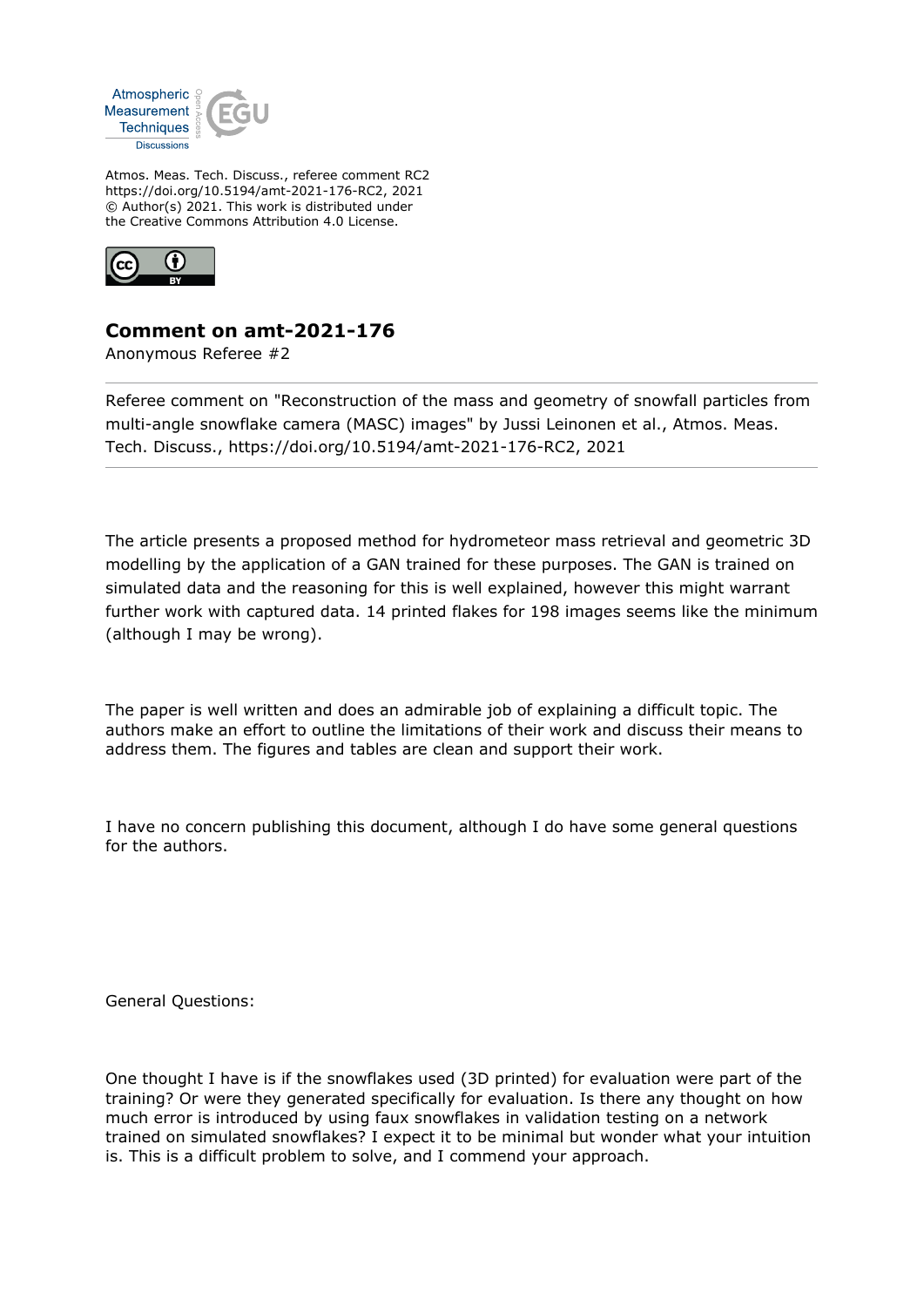

Atmos. Meas. Tech. Discuss., referee comment RC2 https://doi.org/10.5194/amt-2021-176-RC2, 2021 © Author(s) 2021. This work is distributed under the Creative Commons Attribution 4.0 License.



## **Comment on amt-2021-176**

Anonymous Referee #2

Referee comment on "Reconstruction of the mass and geometry of snowfall particles from multi-angle snowflake camera (MASC) images" by Jussi Leinonen et al., Atmos. Meas. Tech. Discuss., https://doi.org/10.5194/amt-2021-176-RC2, 2021

The article presents a proposed method for hydrometeor mass retrieval and geometric 3D modelling by the application of a GAN trained for these purposes. The GAN is trained on simulated data and the reasoning for this is well explained, however this might warrant further work with captured data. 14 printed flakes for 198 images seems like the minimum (although I may be wrong).

The paper is well written and does an admirable job of explaining a difficult topic. The authors make an effort to outline the limitations of their work and discuss their means to address them. The figures and tables are clean and support their work.

I have no concern publishing this document, although I do have some general questions for the authors.

General Questions:

One thought I have is if the snowflakes used (3D printed) for evaluation were part of the training? Or were they generated specifically for evaluation. Is there any thought on how much error is introduced by using faux snowflakes in validation testing on a network trained on simulated snowflakes? I expect it to be minimal but wonder what your intuition is. This is a difficult problem to solve, and I commend your approach.